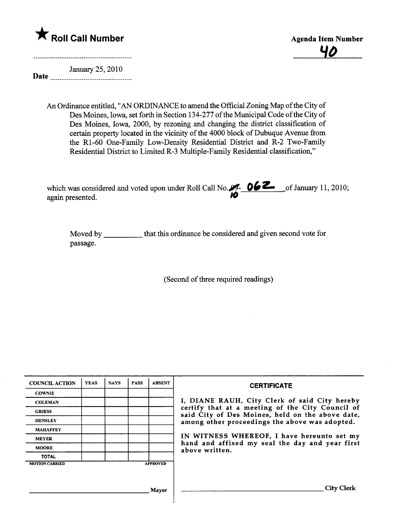



Date <u>manual communication</u> January 25, 2010

> An Ordinance entitled, "AN ORDINANCE to amend the Official Zoning Map of the City of Des Moines, Iowa, set forth in Section 134-277 of the Municipal Code of the City of Des Moines, Iowa, 2000, by rezoning and changing the district classification of certain property located in the vicinity of the 4000 block of Dubuque Avenue from the RI-60 One-Family Low-Density Residential District and R-2 Two-Family Residential District to Limited R-3 Multiple-Family Residential classification,"

| which was considered and voted upon under Roll Call No. $95 - 06$ $\sim$ of January 11, 2010; |  |
|-----------------------------------------------------------------------------------------------|--|
| again presented.                                                                              |  |

Moved by \_\_\_\_\_\_\_\_\_\_\_ that this ordinance be considered and given second vote for passage.

(Second of thee required readings)

| <b>COUNCIL ACTION</b> | <b>YEAS</b> | <b>NAYS</b> | <b>PASS</b> | <b>ABSENT</b>   | <b>CERTIFICATE</b>                                                                                   |  |  |  |  |
|-----------------------|-------------|-------------|-------------|-----------------|------------------------------------------------------------------------------------------------------|--|--|--|--|
| <b>COWNIE</b>         |             |             |             |                 |                                                                                                      |  |  |  |  |
| <b>COLEMAN</b>        |             |             |             |                 | I, DIANE RAUH, City Clerk of said City hereby                                                        |  |  |  |  |
| <b>GRIESS</b>         |             |             |             |                 | certify that at a meeting of the City Council of<br>said City of Des Moines, held on the above date, |  |  |  |  |
| <b>HENSLEY</b>        |             |             |             |                 | among other proceedings the above was adopted.                                                       |  |  |  |  |
| <b>MAHAFFEY</b>       |             |             |             |                 | IN WITNESS WHEREOF, I have hereunto set my                                                           |  |  |  |  |
| <b>MEYER</b>          |             |             |             |                 |                                                                                                      |  |  |  |  |
| <b>MOORE</b>          |             |             |             |                 | hand and affixed my seal the day and year first<br>above written.                                    |  |  |  |  |
| <b>TOTAL</b>          |             |             |             |                 |                                                                                                      |  |  |  |  |
| <b>MOTION CARRIED</b> |             |             |             | <b>APPROVED</b> |                                                                                                      |  |  |  |  |
|                       |             |             |             |                 |                                                                                                      |  |  |  |  |
|                       |             |             |             | Mavor           | City                                                                                                 |  |  |  |  |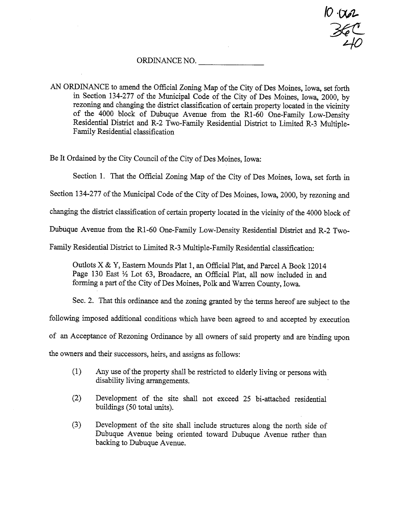$N$  .  $V$  $\frac{1}{36}$  $40$ 

### ORDINANCE NO.

AN ORDINANCE to amend the Official Zoning Map of the City of Des Moines, Iowa, set forth in Section 134-277 of the Muncipal Code of the City of Des Moines, Iowa, 2000, by rezoning and changing the district classification of certain property located in the vicinity of the 4000 block of Dubuque Avenue from the RI-60 One-Famly Low-Density Residential District and R-2 Two-Family Residential District to Limited R-3 Multiple-Famly Residential classification

Be It Ordained by the City Council of the City of Des Moines, Iowa:

Section 1. That the Official Zoning Map of the City of Des Moines, Iowa, set forth in

Section 134-277 of the Municipal Code of the City of Des Moines, Iowa, 2000, by rezoning and

changing the district classification of certain property located in the vicinity of the 4000 block of

Dubuque Avenue from the R1-60 One-Family Low-Density Residential District and R-2 Two-

Family Residential District to Limited R-3 Multiple-Family Residential classification:

Outlots X & Y, Eastern Mounds Plat 1, an Official Plat, and Parcel A Book 12014 Page 130 East 1/2 Lot 63, Broadacre, an Official Plat, all now included in and forming a part of the City of Des Moines, Polk and Warren County, Iowa.

Sec. 2. That this ordinance and the zoning granted by the terms hereof are subject to the

followig imposed additional conditions which have been agreed to and accepted by execution

of an Acceptance of Rezoning Ordinance by all owners of said property and are binding upon

the owners and their successors, heirs, and assigns as follows:

- $(1)$  Any use of the property shall be restricted to elderly living or persons with disability living arrangements.
- $(2)$  Development of the site shall not exceed 25 bi-attached residential buildings (50 total units).
- (3) Development of the site shall include structures along the north side of Dubuque Avenue being oriented toward Dubuque Avenue rather th backing to Dubuque Avenue.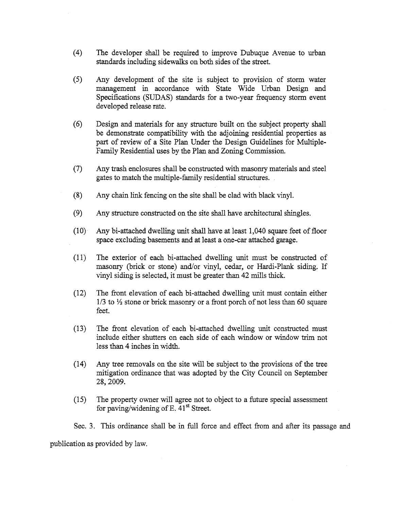- (4) The developer shall be required to improve Dubuque Avenue to urban standards including sidewalks on both sides of the street.
- (5) Any development of the site is subject to provision of storm water mangement in accordace with State Wide Urban Design and Specifications (SUDAS) standards for a two-year frequency storm event developed release rate.
- (6) Design and materials for any structure built on the subject property shall be demonstrate compatibility with the adjoining residential properties as part of review of a Site Plan Under the Design Guidelines for Multiple-Family Residential uses by the Plan and Zoning Commission.
- (7) Any trash enclosures shall be constructed with masonry materials and steel gates to match the multiple-family residential structures.
- $(8)$  Any chain link fencing on the site shall be clad with black vinyl.
- $(9)$  Any structure constructed on the site shall have architectural shingles.
- $(10)$  Any bi-attached dwelling unit shall have at least 1,040 square feet of floor space excluding basements and at least a one-car attached garage.
- $(11)$  The exterior of each bi-attached dwelling unit must be constructed of masonry (brick or stone) and/or vinyl, cedar, or Hardi-Plank siding. If vinyl siding is selected, it must be greater than 42 mills thick.
- $(12)$  The front elevation of each bi-attached dwelling unit must contain either  $1/3$  to  $\frac{1}{2}$  stone or brick masonry or a front porch of not less than 60 square feet.
- $(13)$  The front elevation of each bi-attached dwelling unit constructed must include either shutters on each side of each window or window trim not less than 4 inches in width.
- (14) Any tree removals on the site will be subject to the provisions of the tree mitigation ordinance that was adopted by the City Council on September 28,2009.
- (15) The property owner will agree not to object to a future special assessment for paving/widening of E.  $41<sup>st</sup>$  Street.

Sec. 3. This ordinance shall be in full force and effect from and after its passage and publication as provided by law.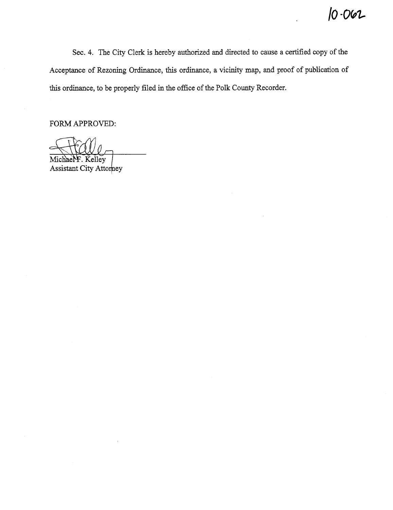$10 - 062$ 

Sec. 4. The City Clerk is hereby authorized and directed to cause a certified copy of the Acceptance of Rezoning Ordinance, this ordinance, a vicinity map, and proof of publication of this ordinance, to be properly filed in the office of the Polk County Recorder.

FORM APPROVED:

Michael F. Kelley

Assistant City Attorney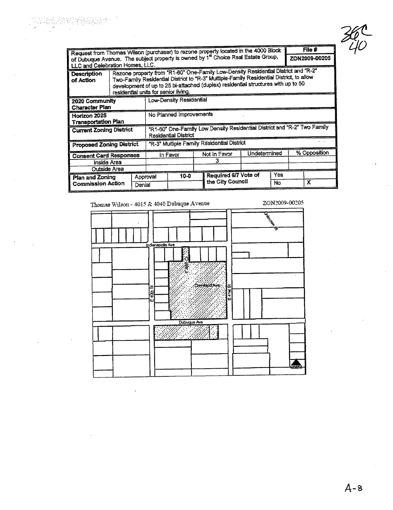Request from Thomas Wilson (purchaser) to rezone property located in the 4000 Block<br>of Dubuque Avenue. The subject property is owned by 1<sup>st</sup> Choice Real Estate Group,  $File \#$ ZON2009-00205 LLC and Celebration Homes, LLC. Rezone property from "R1-60" One-Family Low-Density Residential District and "R-2" Description Two-Family Residential District to "R-3" Multiple-Family Residential District, to allow of Action development of up to 25 bi-attached (duplex) residential structures with up to 50 residential units for senior living. Low-Density Residential 2020 Community Character Plan No Planned Improvements Horizon 2025 Transportation Plan "R1-60" One-Family Low Density Residential District and "R-2" Two Family **Current Zoning District** Residential District "R-3" Multiple Family Residential District **Proposed Zoning District** % Opposition Not in Favor **Undetermined** In Favor **Consent Card Responses**  $\overline{\mathbf{3}}$ Inside Area Outside Area Required 6/7 Vote of Yes  $10 - 0$ Plan and Zoning Approval the City Council  $\overline{N}$  $\overline{\mathbf{x}}$ **Commission Action** Denial

Thomas Wilson - 4015 & 4040 Dubuque Avenue

ZON2009-00205

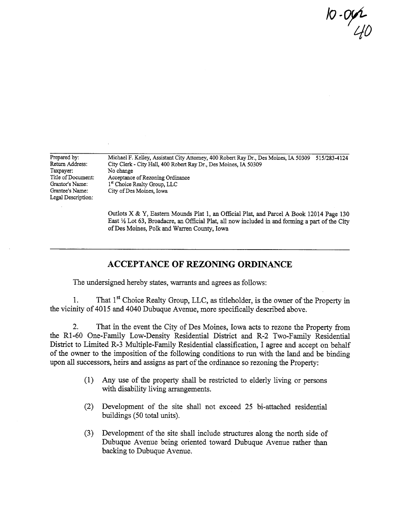10 - Or£ LID

Prepared by: Return Address: Taxpayer: Title of Document: Grantor's Name: Grantee's Name: Legal Description: Michael F. Kelley, Assistant City Attorney, 400 Robert Ray Dr., Des Moines, IA 50309 515/283-4124 City Clerk - City Hall, 400 Robert Ray Dr., Des Moines, IA 50309 No change Acceptance of Rezoning Ordinance 1<sup>st</sup> Choice Realty Group, LLC City of Des Moines, Iowa

> Outlots X & Y, Eastern Mounds Plat 1, an Offcial Plat, and Parcel A Book 12014 Page 130 East 1/2 Lot 63, Broadacre, an Official Plat, all now included in and forming a part of the City of Des Moines, Polk and Waren County, Iowa

## ACCEPTANCE OF REZONIG ORDINANCE

The undersigned hereby states, warants and agrees as follows:

1. That 1<sup>st</sup> Choice Realty Group, LLC, as titleholder, is the owner of the Property in the vicinty of 4015 and 4040 Dubuque Avenue, more specifcaly described above.

2. That in the event the City of Des Moines, Iowa acts to rezone the Property from the R1-60 One-Family Low-Density Residential District and R-2 Two-Family Residential District to Limited R-3 Multiple-Family Residential classification, I agree and accept on behalf of the owner to the imposition of the following conditions to run with the land and be binding upon all successors, heirs and assigns as part of the ordinance so rezoning the Property:

- (1) Any use of the property shall be restricted to elderly living or persons with disability living arrangements.
- (2) Development of the site shall not exceed 25 bi-attached residential buildings (50 total units).
- (3) Development of the site shall include structures along the north side of Dubuque Avenue being oriented toward Dubuque Avenue rather than backing to Dubuque Avenue.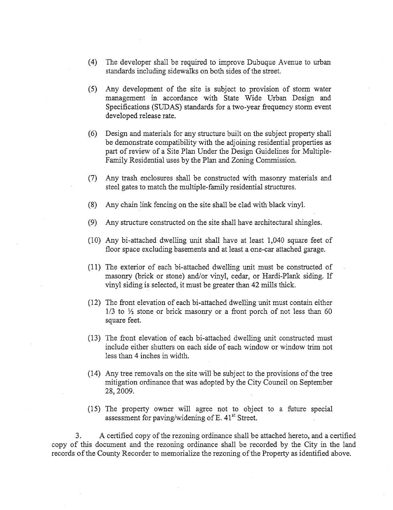- (4) The developer shall be required to improve Dubuque Avenue to urban standards including sidewalks on both sides of the street.
- (5) Any development of the site is subject to provision of storm water management in accordance with State Wide Urban Design and Specifications (SUDAS) standards for a two-year frequency storm event developed release rate.
- (6) Design and materials for any structure built on the subject property shall be demonstrate compatibility with the adjoining residential properties as part of review of a Site Plan Under the Design Guidelines for Multiple-Family Residential uses by the Plan and Zoning Commission.
- (7) Any trash enclosures shall be constructed with masonry materials and steel gates to match the multiple-family residential structures.
- (8) Any chain link fencing on the site shall be clad with black vinyl.
- $(9)$  Any structure constructed on the site shall have architectural shingles.
- (10) Any bi-attached dwellig unt shall have at least 1,040 square feet of floor space excluding basements and at least a one-car attached garage.
- $(11)$  The exterior of each bi-attached dwelling unit must be constructed of masonry (brick or stone) and/or vinyl, cedar, or Hardi-Plank siding. If vinyl siding is selected, it must be greater than 42 mils thick.
- (12) The front elevation of each bi-attached dwelling unt must contain either  $1/3$  to  $\frac{1}{2}$  stone or brick masonry or a front porch of not less than 60 square feet.
- (13) The front elevation of each bi-attached dwelling unit constructed must include either shutters on each side of each window or window trm not less than 4 inches in width.
- (14) Any tree removals on the site will be subject to the provisions of the tree mitigation ordinance that was adopted by the City Council on September 28,2009.
- (15) The property owner wil agree not to object to a future special assessment for paving/widening of E.  $41<sup>st</sup>$  Street.

3. A certified copy of the rezoning ordinance shall be attached hereto, and a certified copy of this document and the rezoning ordinance shall be recorded by the City in the land records of the County Recorder to memorialize the rezonig of the Property as identified above.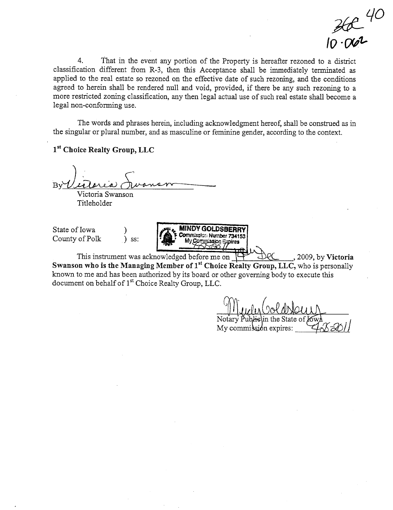$36240$ 

 $\overline{4}$ . That in the event any portion of the Property is hereafter rezoned to a district classification different from R-3, then this Acceptance shall be immediately terminated as applied to the real estate so rezoned on the effective date of such rezoning, and the conditions agreed to herein shall be rendered null and void, provided, if there be any such rezoning to a more restricted zoning classification, any then legal actual use of such real estate shall become a legal non-conforming use.

The words and phrases herein, including acknowledgment hereof, shall be construed as in the singular or plural number, and as masculine or feminine gender, according to the context.

1st Choice Realty Group, LLC

Victoria Swanson

Titleholder

State of Iowa County of Polk

 $\sum$  ss:

**MINDY GOLDSBERRY** Commission Number 734153 My Commission Sypires

This instrument was acknowledged before me on , 2009, by Victoria Swanson who is the Managing Member of 1<sup>st</sup> Choice Realty Group, LLC, who is personally known to me and has been authorized by its board or other governing body to execute this document on behalf of 1<sup>st</sup> Choice Realty Group, LLC.

My commission expires: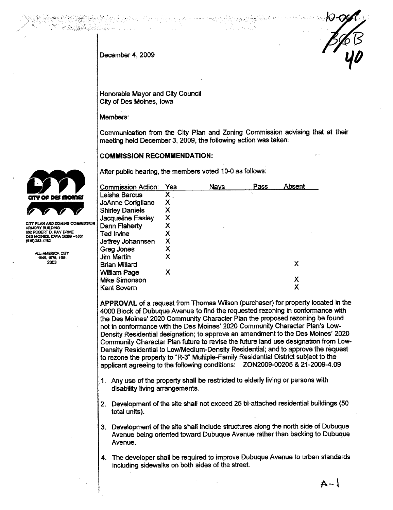December 4, 2009

Honorable Mayor and City Council City of Des Moines, Iowa

Members:

Communication from the City Plan and Zoning Commission advising that at their meeting held December 3, 2009, the following action was taken:

**COMMISSION RECOMMENDATION:** 

After public hearing, the members voted 10-0 as follows:

| Commission Action:       | Yes | <b>Nays</b> | Pass | Absent |
|--------------------------|-----|-------------|------|--------|
| Leisha Barcus            | х   |             |      |        |
| JoAnne Corigliano        | x   |             |      |        |
| <b>Shirley Daniels</b>   | Χ   |             |      |        |
| <b>Jacqueline Easley</b> | χ   |             |      |        |
| Dann Flaherty            | χ   |             |      |        |
| Ted Irvine               | x   |             |      |        |
| Jeffrey Johannsen        | Χ   |             |      |        |
| Greg Jones               | Χ   |             |      |        |
| Jim Martin               | x   |             |      |        |
| Brian Millard            |     |             |      | х      |
| <b>William Page</b>      | x   |             |      |        |
| Mike Simonson            |     |             |      | х      |
| Kent Sovern              |     |             |      |        |

APPROVAL of a request from Thomas Wilson (purchaser) for property located in the 4000 Block of Dubuque Avenue to find the requested rezoning in conformance with the Des Moines' 2020 Community Character Plan the proposed rezoning be found not in conformance with the Des Moines' 2020 Community Character Plan's Low-Density Residential designation; to approve an amendment to the Des Moines' 2020 Community Character Plan future to revise the future land use designation from Low-Density Residential to Low/Medium-Density Residential; and to approve the request to rezone the property to "R-3" Multiple-Family Residential District subject to the applicant agreeing to the following conditions: ZON2009-00205 & 21-2009-4.09

- 1. Any use of the property shall be restricted to elderly living or persons with disability living arrangements.
- 2. Development of the site shall not exceed 25 bi-attached residential buildings (50 total units).
- 3. Development of the site shall include structures along the north side of Dubuque Avenue being oriented toward Dubuque Avenue rather than backing to Dubuque Avenue.
- 4. The developer shall be required to improve Dubuque Avenue to urban standards including sidewalks on both sides of the street.



CITY PLAN AND ZONING COMMISSION ARMORY BUILDING<br>502 ROBERT D. RAY DRIVE DES MOINES, IOWA 50309-1881 (515) 283-4182

> ALL-AMERICA CITY<br>1949.1976.1981 2003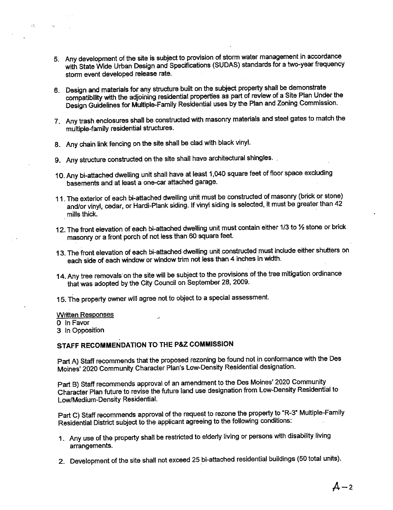- 5. Any development of the site is subject to provision of storm water management in accordance with State Wide Urban Design and Specifications (SUDAS) standards for a two-year frequency storm event developed release rate.
- 6. Design and materials for any structure built on the subject property shall be demonstrate compatibility with the adjoining residential properties as part of review of a Site Plan Under the Design Guidelines for Multiple-Family Residential uses by the Plan and Zoning Commission.
- 7. Any trash enclosures shall be constructed with masonry materials and steel gates to match the multiple-family residential structures.
- 8. Any chain link fencing on the site shall be clad with black vinyl.
- 9. Any structure constructed on the site shall have architectural shingles.
- 10. Any bi-attached dwelling unit shall have at least 1,040 square feet of floor space excluding basements and at least a one-car attached garage.
- 11. The exterior of each bi-attached dwelling unit must be constructed of museum  $\sqrt{ }$ basements and at least a one-car attached garage.<br>The exterior of each bi-attached dwelling unit must be constructed of masonry (brick or stone)<br>and/or vinyl, cedar, or Hardi-Plank siding. If vinyl siding is selected, it m
- 12. The front elevation of each bi-attached dwelling unit must contain either 1/3 to 1⁄2 stone or brick masonry or a front porch of not less than 60 square feet
- 13. The front elevation of each bi-attached dwelling unit constructed must include either shutters on each side of each window or window trim not less than 4 inches in width.
- 14. Any tree removals on the site will be subject to the provisions of the tree mitigation ordinance that was adopted by the City Council on September 28, 2009.
- 15. The property owner will agree not to object to a special assessment.

#### **Written Responses**

o In Favor

 $\mathcal{O}_{\mathcal{N}}$ 

 $\Delta\chi$ 

3 In Opposition

## STAFF RECOMMENDATION TO THE P&Z COMMISSION

Part A) Staff recommends that the proposed rezoning be found not in conformance wih the Des Moines' 2020 Community Character Plan's Low-Density Residential designation.

Part B) Staff recommends approval of an amendment to the Des Moines' 2020 Community Character Plan future to revise the future land use designation from Low-Density Residential to Low/Medium-Density Residential.

Part C) Staff recommends approval of the request to rezone the property to "R-3" Multiple-Family Residential District subject to the applicant agreeing to the following conditions:

- 1. Any use of the property shall be restricted to elderly living or persons with disability living arrangements.
- 2. Development of the site shall not exceed 25 bi-attached residential buildings (50 total units).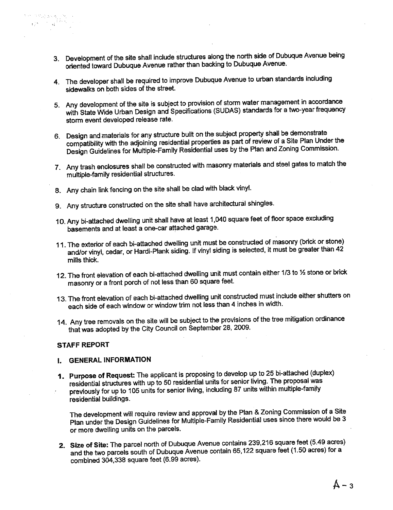- 3. Development of the site shall include structures along the north side of Dubuque Avenue being oriented toward Dubuque Avenue rather than backing to Dubuque Avenue.
- 4. The developer shall be required to improve Dubuque Avenue to urban standards including sidewalks on both sides of the street.
- 5. Any development of the site is subject to provision of storm water management in accordance with State Wide Urban Design and Specifications (SUDAS) standards for a two-year frequency storm event developed release rate.
- 6. Design and materials for any structure built on the subject property shall be demonstrate<br>compatibility with the adjoining residential properties as part of review of a Site Plan Under the compatibility with the adjoining residential properties as part of  $P_{\text{max}} \approx 17$  site  $P_{\text{max}}$ Design Guidelines for Multiple-Family Residential uses by the Plan and Zoning Commission.
- 7. Any trash enclosures shall be constructed with masonry materials and steel gates to match the multiple-family residential structures.
- 8. Any chain link fencing on the site shall be clad with black vinyl.
- 9. Any structure constructed on the site shall have architectural shingles.
- 10. Any bi-attached dwelling unit shall have at least 1,040 square feet of floor space excluding basements and at least a one-car atached garage.
- 11. The exterior of each bi-attached dwelling unit must be constructed of masonry (brick or stone) and/or vinyl, cedar, or Hardi-Plank siding. If vinyl siding is selected, it must be greater than 42 mills thick.
- 12. The front elevation of each bi-attached dwelling unit must contain either 1/3 to 1/2 stone or brick masonry or a front porch of not less than 60 square feet.
- 13. The front elevation of each bi-attached dwelling unit constructed must include either shutters on each side of each window or window trim not less than 4 inches in width.
- 14. Any tree removals on the site will be subject to the provisions of the tree mitigation ordinance that was adopted by the City Council on September 28, 2009.

#### STAFF REPORT

 $\mathbf{q}$  is a set of  $\mathbf{q}^2$ 

### I. GENERAL INFORMATION

1. Purpose of Request The applicant is proposing to develop up to 25 bi-attached (duplex) residential structures with up to 50 residential units for senior living. The proposal was previously for up to 105 units for senior living, including 87 units within multiple-family residential buildings.

The development will require review and approval by the Plan & Zoning Commission of a Site Plan under the Design Guidelines for Multiple-Family Residential uses since there would be 3 or more dwellng units on the parcels.

2. Size of Site: The parcel north of Dubuque Avenue contains 239,216 square feet (5.49 acres) and the two parcels south of Dubuque Avenue contain 65,122 square feet (1.50 acres) for a combined 304,338 square feet (6.99 acres).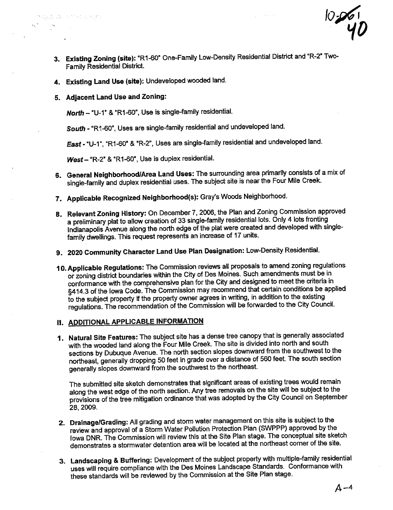3. Existing Zoning (site): "R1-60" One-Family Low-Density Residential District and "R-2" Two-Family Residential District.

10-261

- 4. Existing Land Use (site): Undeveloped wooded land.
- 5. Adjacent Land Use and Zoning:

North - "U-1" & "R1-60", Use is single-family residential.

South - "R1-60", Uses are single-family residential and undeveloped land.

East - "U-1", "R1-60" & "R-2", Uses are single-family residential and undeveloped land.

West - "R-2" & "R1-60", Use is duplex residential.

- 6. General Neighborhood/Area Land Uses: The surrounding area primarily consists of a mix of single-family and duplex residential uses. The subject site is near the Four Mile Creek.
- 7. Applicable Recognized Neighborhood(s): Gray's Woods Neighborhood.
- 8. Relevant Zoning History: On December 7, 2006, the Plan and Zoning Commission approved a preliminary plat to allow creation of 33 single-tamily residential and developed with single-<br>Indianapolis Avenue along the north edge of the plat were created and developed with singlea preliminary plat to allow creation of 33 single-family residential lots. Only 4 lots fronting family dwellings. This request represents an increase of 17 units.
- 9. 2020 Community Character Land Use Plan Designation: Low-Density Residential.
- 10. Applicable Regulations: The Commission reviews all proposals to amend zoning regulations or zoning district boundaries within the City of Des Moines. Such amendments must be in conformance with the comprehensive plan for the City and designed to meet the criteria in §414.3 of the Iowa Code. The Commission may recommend that certain conditions be applied to the subject property if the property owner agrees in writing, in addition to the existing regulations. The recommendation of the Commission will be forwarded to the City Council.

## II. ADDITIONAL APPLICABLE INFORMATION

1. Natural Site Features: The subject site has a dense tree canopy that is generally associated with the wooded land along the Four Mile Creek. The site is divided into north and south sections by Dubuque Avenue. The north section slopes downward from the southwest to the northeast, generally dropping 50 feet in grade over a distance of 560 feet. The south section generally slopes downward from the southwest to the northeast.

The submitted site sketch demonstrates that significant areas of existing trees would remain along the west edge of the north section. Any tree removals on the site will be subject to the provisions of the tree mitigation ordinance that was adopted by the City Council on September 28, 2009.

- 2. Drainage/Grading: All grading and storm water management on this site is subject to the review and approval of a Storm Water Pollution Protection Plan (SWPPP) approved by the Iowa DNR. The Commission wil review this at the Site Plan stage. The conceptual site sketch demonstrates a stormwater detention area will be located at the northeast corner of the site.
- 3. Landscaping & Buffering: Development of the subject property with multiple-family residential uses will require compliance with the Des Moines Landscape Standards. Conformance with these standards wil be reviewed by the Commission at the Site Plan stage.

 $A - 4$ 

 $\overline{\phantom{a}}$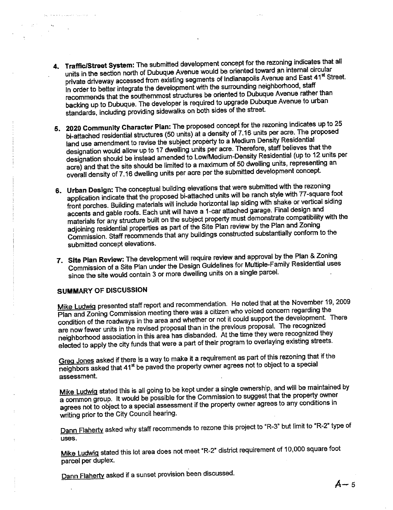- 4. Traffic/Street System: The submitted development concept for the rezoning indicates that all<br>units in the section north of Dubuque Avenue would be oriented toward an internal circular units in the section north of Dubuque Avenue would be oriented toward and monitar circular private driveway accessed from existing segments of indianapolis Avenue and East 41st Street. In order to better integrate the development with the surrounding neighborhood, staff<br>recommends that the southernmost structures be oriented to Dubuque Avenue rather than recommends that the southernmost structures be oriented to Dubuque Avenue rather than backing up to Dubuque. The developer is required to upgrade Dubuque Avenue to urban standards, including providing sidewalks on both sides of the steet
- 5. 2020 Community Character Plan: The proposed concept for the rezoning indicates up to 25 bi-attached residential structures (50 units) at a density of 7.16 units per acre. The proposed land use amendment to revise the subject property to a Medium Density Residential<br>designation would allow up to 17 dwelling units per acre. Therefore, staff believes that the designation should be instead amended to Low/Medium-Density Residential (up to 12 units per designation should be instead amended to Lowings and the low the consequence of the second and the residential and the residential and the consequence of  $\epsilon$  is an analyze of  $\epsilon$  is an analyze of  $\epsilon$  is an analyze of  $\$ acre) and that the site should be limited to a maximum of 50 dwelling units, representing an overall density of 7.16 dwelling units per acre per the submitted development concept.
- 6. Urban Design: The conceptual building elevations that were submitted with the rezoning application indicate that the proposed bi-attached units will be ranch style with 77-square foot hont porches. Building materials will have a 1-car attached garage. Final design and<br>accents and gable roofs. Each unit will have a 1-car attached garage. Final design and front porches. Building materials will include horizontal lap siding with shake or vertical siding materials for any structure built on the subject property must demonstrate compatibility with the adjoining residential properties as part of the Site Plan review by the Plan and Zoning Commission. Staff recommends that any buildings constructed substantially conform to the submitted concept elevations.
- 7. Site Plan Review: The development will require review and approval by the Plan & Zoning Commission of a Site Plan under the Design Guidelines for Multiple-Family Residential uses since the site would contain 3 or more dwelling units on a single parcel.

## SUMMARY OF DISCUSSION

Mike Ludwig presented staff report and recommendation. He noted that at the November 19, 2009<br>Plan and Zoning Commission meeting there was a citizen who voiced concern regarding the Plan and Zoning Commission meeting there was a citizen who voiced concern regarding the<br>List of the development condition of the roadways in the area and whether or not it could support the development Three are now fewer units in the revised proposal than in the previous proposal. The recognized neighborhood association in this area has disbanded. At the time they were recognized they eleced to apply the city funds that were a part of their program to overlaying existing streets.

Greg Jones asked if there is a way to make it a requirement as part of this rezoning that if the neighbors asked that 41<sup>st</sup> be paved the property owner agrees not to object to a special assessment.

Mike Ludwig stated this is all going to be kept under a single ownership, and will be maintained by a common group. It would be possible for the Commission to suggest that the property owner agrees not to object to a special assessment if the property owner agrees to any conditions in writing prior to the City Council hearing.

Dann Flaherty asked why staff recommends to rezone this project to "R-3" but limit to "R-2" type of uses.

Mike Ludwig stated this lot area does not meet "R-2" district requirement of 10,000 square foot parcel per duplex.

Dann Flaherty asked if a sunset provision been discussed.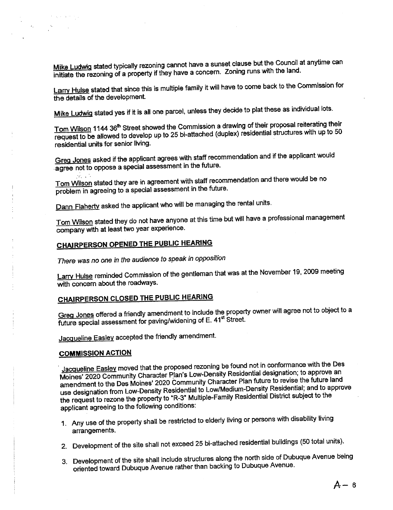Mike Ludwig stated typically rezoning cannot have a sunset clause but the Council at anytime can initiate the rezoning of a property if they have a concern. Zoning runs with the land.

Larry Hulse stated that since this is multiple family it will have to come back to the Commission for the details of the development.

<u>Mike Ludwig</u> stated yes if it is all one parcel, unless they decide to plat these as individual lots.

Tom Wilson 1144 36th Street showed the Commission a drawing of their proposal reliefung their request to be allowed to develop up to 25 bi-attached (duplex) residential structures with up to residential units for senior living.

Greg Jones asked if the applicant agrees with staff recommendation and if the applicant would .<br>agree not to oppose a special assessment in the future.

Tom Wilson stated they are in agreement with staff recommendation and there would be no problem in agreeing to a special assessment in the future.

Dann Flaherty asked the applicant who will be managing the rental units.

Tom Wilson stated they do not have anyone at this time but will have a professional management company with at least two year experience.

## CHARPERSON OPENED THE PUBUC HEARING

There was no one in the audience to speak in opposition

Larry Hulse reminded Commission of the gentleman that was at the November 19, 2009 meeting with concern about the roadways.

# CHAIRPERSON CLOSED THE PUBUC HEARNG

Greg Jones offered a friendly amendment to include the property owner will agree not to object to a future special assessment for paving/widening of E. 41<sup>st</sup> Street.

Jacqueline Easley accepted the friendly amendment.

#### COMMISSION ACTION

 $\mathcal{A}_\pm$ 

<u>Jacqueline Easley</u> moved that the proposed rezoning be found not in conformance with the Des<br>Moines' 2020 Community Character Plan's Low-Density Residential designation; to approve an amendment to the Des Moines' 2020 Community Character Plan future to revise the future land amendment to the Des Moines' 2020 Community Character Plan future to revise the future land<br>Allowski and to approximately the Mure land future in the Mure land to approximately use designation from Low-Density Residential to Low/Medium-Density Residential; and to approve the request to rezone the property to "R-3" Multiple-Family Residential District subject to the applicant agreeing to the following conditions:

- 1. Any use of the property shall be restricted to elderly living or persons with disability living arrangements.
- 2. Development of the site shall not exceed 25 bi-attached residential buildings (50 total units).
- 3. Development of the site shall include structures along the north side of Dubuque Avenue being oriented toward Dubuque Avenue rather than backing to Dubuque Avenue.

 $A - 6$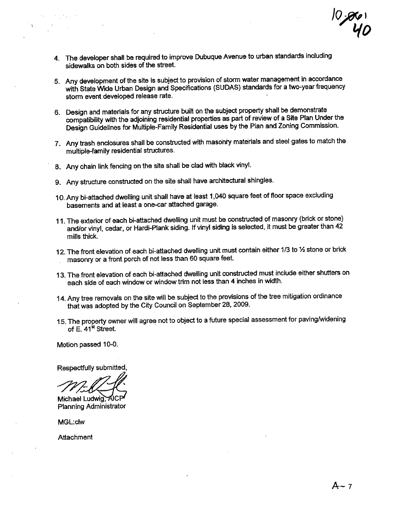$|0\rangle$ gro '10

- 4. The developer shall be required to improve Dubuque Avenue to urban standards including sidewalks on both sides of the street.
- 5. Any development of the site is subject to provision of storm water management in accordance with State Wide Urban Design and Specifications (SUDAS) standards for a two-year frequency storm event developed release rate.
- 6. Design and materials for any structure built on the subject property shall be demonstrate compatibility with the adjoining residential properties as part of review of a Site Plan Under the Design Guidelines for Multiple-Family Residential uses by the Plan and Zoning Commission.
- 7. Any trash enclosures shall be constructed with masonry materials and steel gates to match the multiple-family residential structures.
- 8. Any chain link fencing on the site shall be clad with black vinyl.
- 9. Any structure constructed on the site shall have architectural shingles.
- 10. Any bi-attached dwelling unit shall have at least 1,040 square feet of floor space excluding basements and at least a one-car attached garage.
- 11. The exterior of each bi-attached dwelling unit must be constructed of masonry (brick or stone) and/or vinyl, cedar, or Hardi-Plank siding. If vinyl siding is selected, it must be greater than 42 mills thick.
- 12. The front elevation of each bi-attached dwelling unit must contain either 1/3 to 1/2 stone or brick masonry or a front porch of not less than 60 square feet.
- 13. The front elevation of each bi-attached dwelling unit constructed must include either shutters on each side of each window or window trim not less than 4 inches in width.
- 14. Any tree removals on the site will be subject to the provisions of the tree mitigation ordinance that was adopted by the City Council on September 28, 2009.
- 15. The property owner will agree not to object to a future special assessment for paving/widening of  $E.$  41 $\mathrm{^st}$  Street.

Motion passed 10-0.

Respelly submitted, .~gg Michae~

Planning Administrator

MGL:clw

**Attachment**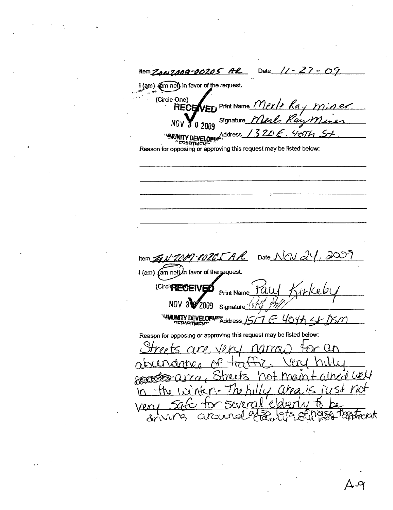Date Hem ZON7009-00205 Al ╱ 09 I (am) (am not) in favor of the request. (Circle One) Print Name *Merle* Kay RECB Fn anm Signature\_ **NOV**  $\overline{0}$  2009  $4674$ Address\_Will MITY DEVELOPM Reason for opposing or approving this request may be listed below: 9-00205 A.R Date  $\bigwedge$ Item  $\mathscr{B}$ I (am) (am not) in favor of the request. (Circle PIECEN VEĎ **Print Name NOV** 009 Signature <sup>14</sup> **MARINITY DEVELOPM**  $K$ ddress  $15/7$   $\in$  404h  $\leq$   $K$   $\approx$   $m$ Reason for opposing or approving this request may be listed below:  $\boldsymbol{\mathscr{D}}$  $\alpha$ ned well W.  $\mathcal{A}$ *Toppecial* drivil